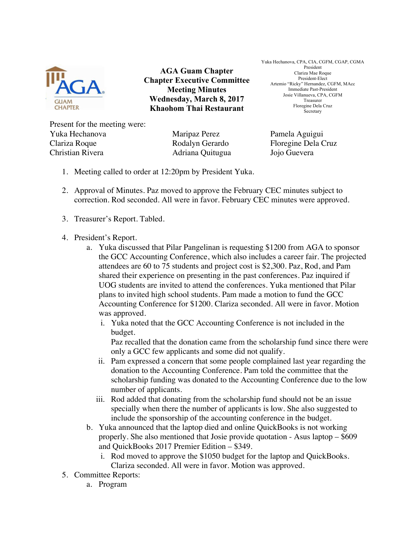

**AGA Guam Chapter Chapter Executive Committee Meeting Minutes Wednesday, March 8, 2017 Khaohom Thai Restaurant**

Yuka Hechanova, CPA, CIA, CGFM, CGAP, CGMA President Clariza Mae Roque President-Elect Artemio "Ricky" Hernandez, CGFM, MAcc Immediate Past-President Josie Villanueva, CPA, CGFM Treasurer Floregine Dela Cruz Secretary

Present for the meeting were: Yuka Hechanova Maripaz Perez Pamela Aguigui Clariza Roque Rodalyn Gerardo Floregine Dela Cruz Christian Rivera Adriana Quitugua Jojo Guevera

- 1. Meeting called to order at 12:20pm by President Yuka.
- 2. Approval of Minutes. Paz moved to approve the February CEC minutes subject to correction. Rod seconded. All were in favor. February CEC minutes were approved.
- 3. Treasurer's Report. Tabled.
- 4. President's Report.
	- a. Yuka discussed that Pilar Pangelinan is requesting \$1200 from AGA to sponsor the GCC Accounting Conference, which also includes a career fair. The projected attendees are 60 to 75 students and project cost is \$2,300. Paz, Rod, and Pam shared their experience on presenting in the past conferences. Paz inquired if UOG students are invited to attend the conferences. Yuka mentioned that Pilar plans to invited high school students. Pam made a motion to fund the GCC Accounting Conference for \$1200. Clariza seconded. All were in favor. Motion was approved.
		- i. Yuka noted that the GCC Accounting Conference is not included in the budget.

Paz recalled that the donation came from the scholarship fund since there were only a GCC few applicants and some did not qualify.

- ii. Pam expressed a concern that some people complained last year regarding the donation to the Accounting Conference. Pam told the committee that the scholarship funding was donated to the Accounting Conference due to the low number of applicants.
- iii. Rod added that donating from the scholarship fund should not be an issue specially when there the number of applicants is low. She also suggested to include the sponsorship of the accounting conference in the budget.
- b. Yuka announced that the laptop died and online QuickBooks is not working properly. She also mentioned that Josie provide quotation - Asus laptop – \$609 and QuickBooks 2017 Premier Edition – \$349.
	- i. Rod moved to approve the \$1050 budget for the laptop and QuickBooks. Clariza seconded. All were in favor. Motion was approved.
- 5. Committee Reports:
	- a. Program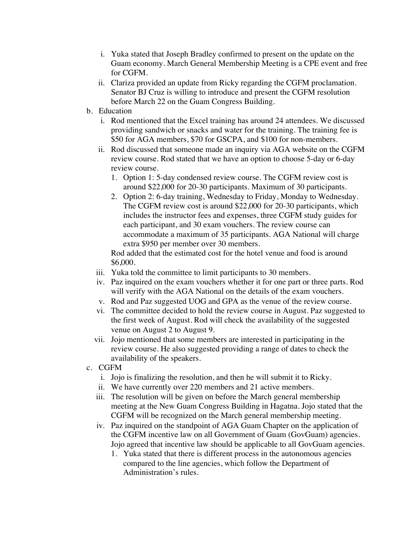- i. Yuka stated that Joseph Bradley confirmed to present on the update on the Guam economy. March General Membership Meeting is a CPE event and free for CGFM.
- ii. Clariza provided an update from Ricky regarding the CGFM proclamation. Senator BJ Cruz is willing to introduce and present the CGFM resolution before March 22 on the Guam Congress Building.
- b. Education
	- i. Rod mentioned that the Excel training has around 24 attendees. We discussed providing sandwich or snacks and water for the training. The training fee is \$50 for AGA members, \$70 for GSCPA, and \$100 for non-members.
	- ii. Rod discussed that someone made an inquiry via AGA website on the CGFM review course. Rod stated that we have an option to choose 5-day or 6-day review course.
		- 1. Option 1: 5-day condensed review course. The CGFM review cost is around \$22,000 for 20-30 participants. Maximum of 30 participants.
		- 2. Option 2: 6-day training, Wednesday to Friday, Monday to Wednesday. The CGFM review cost is around \$22,000 for 20-30 participants, which includes the instructor fees and expenses, three CGFM study guides for each participant, and 30 exam vouchers. The review course can accommodate a maximum of 35 participants. AGA National will charge extra \$950 per member over 30 members.

Rod added that the estimated cost for the hotel venue and food is around \$6,000.

- iii. Yuka told the committee to limit participants to 30 members.
- iv. Paz inquired on the exam vouchers whether it for one part or three parts. Rod will verify with the AGA National on the details of the exam vouchers.
- v. Rod and Paz suggested UOG and GPA as the venue of the review course.
- vi. The committee decided to hold the review course in August. Paz suggested to the first week of August. Rod will check the availability of the suggested venue on August 2 to August 9.
- vii. Jojo mentioned that some members are interested in participating in the review course. He also suggested providing a range of dates to check the availability of the speakers.
- c. CGFM
	- i. Jojo is finalizing the resolution, and then he will submit it to Ricky.
	- ii. We have currently over 220 members and 21 active members.
	- iii. The resolution will be given on before the March general membership meeting at the New Guam Congress Building in Hagatna. Jojo stated that the CGFM will be recognized on the March general membership meeting.
	- iv. Paz inquired on the standpoint of AGA Guam Chapter on the application of the CGFM incentive law on all Government of Guam (GovGuam) agencies. Jojo agreed that incentive law should be applicable to all GovGuam agencies.
		- 1. Yuka stated that there is different process in the autonomous agencies compared to the line agencies, which follow the Department of Administration's rules.